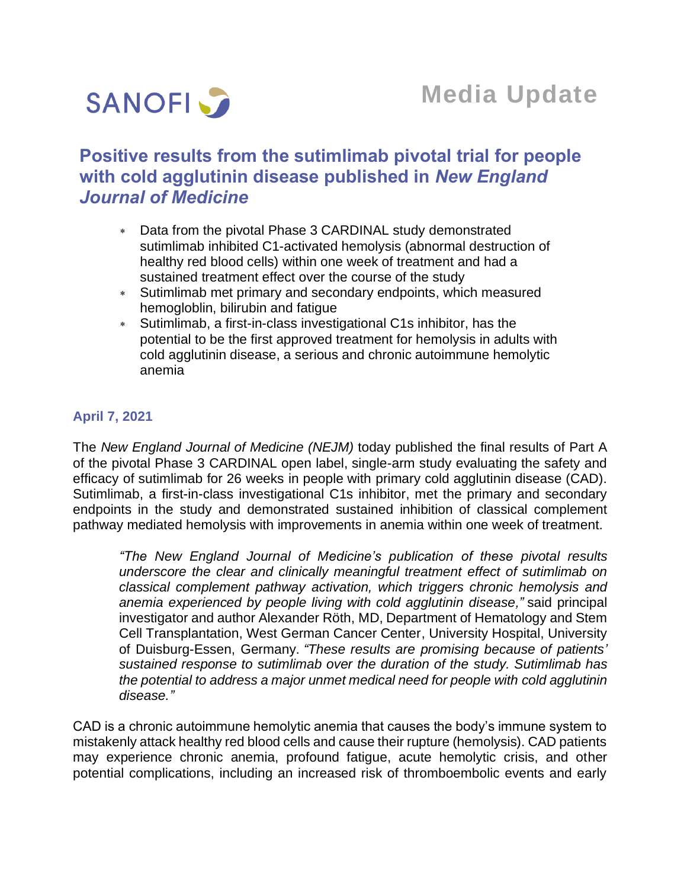

# **Positive results from the sutimlimab pivotal trial for people with cold agglutinin disease published in** *New England Journal of Medicine*

- Data from the pivotal Phase 3 CARDINAL study demonstrated sutimlimab inhibited C1-activated hemolysis (abnormal destruction of healthy red blood cells) within one week of treatment and had a sustained treatment effect over the course of the study
- Sutimlimab met primary and secondary endpoints, which measured hemogloblin, bilirubin and fatigue
- Sutimlimab, a first-in-class investigational C1s inhibitor, has the potential to be the first approved treatment for hemolysis in adults with cold agglutinin disease, a serious and chronic autoimmune hemolytic anemia

## **April 7, 2021**

The *New England Journal of Medicine (NEJM)* today published the final results of Part A of the pivotal Phase 3 CARDINAL open label, single-arm study evaluating the safety and efficacy of sutimlimab for 26 weeks in people with primary cold agglutinin disease (CAD). Sutimlimab, a first-in-class investigational C1s inhibitor, met the primary and secondary endpoints in the study and demonstrated sustained inhibition of classical complement pathway mediated hemolysis with improvements in anemia within one week of treatment.

*"The New England Journal of Medicine's publication of these pivotal results underscore the clear and clinically meaningful treatment effect of sutimlimab on classical complement pathway activation, which triggers chronic hemolysis and anemia experienced by people living with cold agglutinin disease,"* said principal investigator and author Alexander Röth, MD, Department of Hematology and Stem Cell Transplantation, West German Cancer Center, University Hospital, University of Duisburg-Essen, Germany. *"These results are promising because of patients' sustained response to sutimlimab over the duration of the study. Sutimlimab has the potential to address a major unmet medical need for people with cold agglutinin disease."* 

CAD is a chronic autoimmune hemolytic anemia that causes the body's immune system to mistakenly attack healthy red blood cells and cause their rupture (hemolysis). CAD patients may experience chronic anemia, profound fatigue, acute hemolytic crisis, and other potential complications, including an increased risk of thromboembolic events and early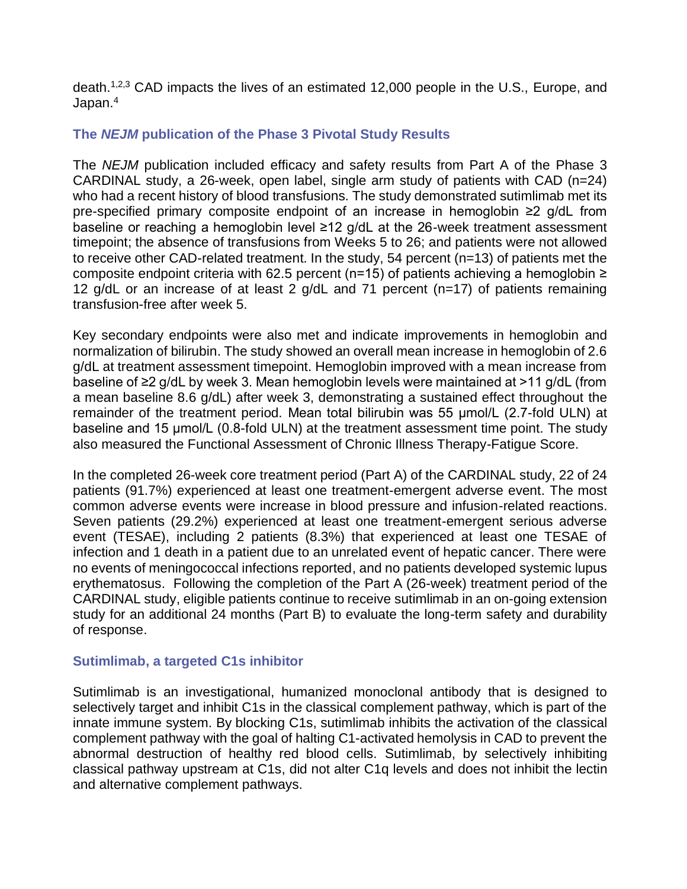death.<sup>1,2,3</sup> CAD impacts the lives of an estimated 12,000 people in the U.S., Europe, and Japan.<sup>4</sup>

## **The** *NEJM* **publication of the Phase 3 Pivotal Study Results**

The *NEJM* publication included efficacy and safety results from Part A of the Phase 3 CARDINAL study, a 26-week, open label, single arm study of patients with CAD (n=24) who had a recent history of blood transfusions. The study demonstrated sutimlimab met its pre-specified primary composite endpoint of an increase in hemoglobin ≥2 g/dL from baseline or reaching a hemoglobin level ≥12 g/dL at the 26-week treatment assessment timepoint; the absence of transfusions from Weeks 5 to 26; and patients were not allowed to receive other CAD-related treatment. In the study, 54 percent (n=13) of patients met the composite endpoint criteria with 62.5 percent (n=15) of patients achieving a hemoglobin  $\geq$ 12 g/dL or an increase of at least 2 g/dL and 71 percent (n=17) of patients remaining transfusion-free after week 5.

Key secondary endpoints were also met and indicate improvements in hemoglobin and normalization of bilirubin. The study showed an overall mean increase in hemoglobin of 2.6 g/dL at treatment assessment timepoint. Hemoglobin improved with a mean increase from baseline of ≥2 g/dL by week 3. Mean hemoglobin levels were maintained at >11 g/dL (from a mean baseline 8.6 g/dL) after week 3, demonstrating a sustained effect throughout the remainder of the treatment period. Mean total bilirubin was 55 μmol/L (2.7-fold ULN) at baseline and 15 μmol/L (0.8-fold ULN) at the treatment assessment time point. The study also measured the Functional Assessment of Chronic Illness Therapy-Fatigue Score.

In the completed 26-week core treatment period (Part A) of the CARDINAL study, 22 of 24 patients (91.7%) experienced at least one treatment-emergent adverse event. The most common adverse events were increase in blood pressure and infusion-related reactions. Seven patients (29.2%) experienced at least one treatment-emergent serious adverse event (TESAE), including 2 patients (8.3%) that experienced at least one TESAE of infection and 1 death in a patient due to an unrelated event of hepatic cancer. There were no events of meningococcal infections reported, and no patients developed systemic lupus erythematosus. Following the completion of the Part A (26-week) treatment period of the CARDINAL study, eligible patients continue to receive sutimlimab in an on-going extension study for an additional 24 months (Part B) to evaluate the long-term safety and durability of response.

#### **Sutimlimab, a targeted C1s inhibitor**

Sutimlimab is an investigational, humanized monoclonal antibody that is designed to selectively target and inhibit C1s in the classical complement pathway, which is part of the innate immune system. By blocking C1s, sutimlimab inhibits the activation of the classical complement pathway with the goal of halting C1-activated hemolysis in CAD to prevent the abnormal destruction of healthy red blood cells. Sutimlimab, by selectively inhibiting classical pathway upstream at C1s, did not alter C1q levels and does not inhibit the lectin and alternative complement pathways.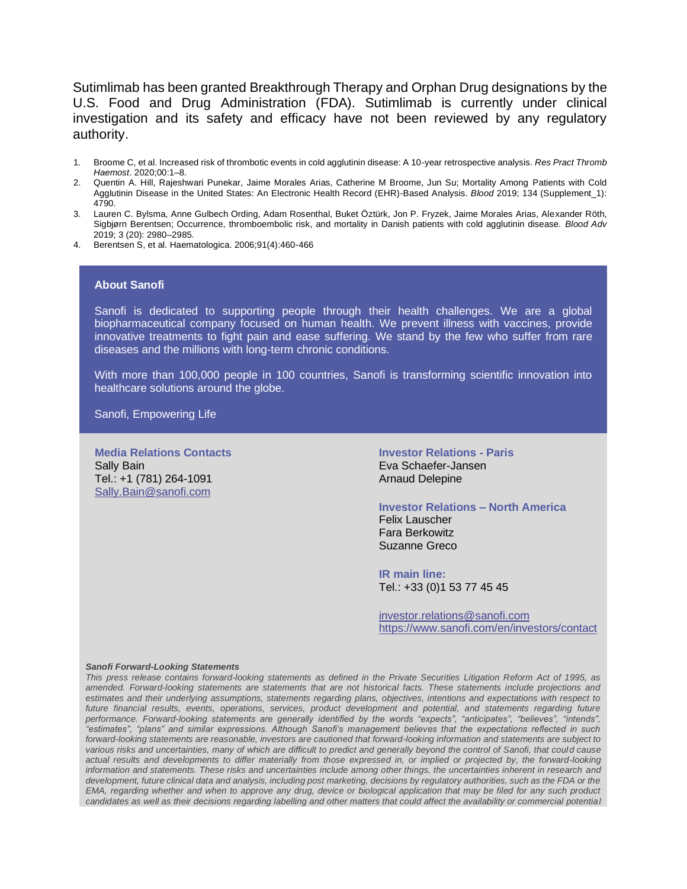Sutimlimab has been granted Breakthrough Therapy and Orphan Drug designations by the U.S. Food and Drug Administration (FDA). Sutimlimab is currently under clinical investigation and its safety and efficacy have not been reviewed by any regulatory authority.

- 1. Broome C, et al. Increased risk of thrombotic events in cold agglutinin disease: A 10-year retrospective analysis. *Res Pract Thromb Haemost*. 2020;00:1–8.
- 2. Quentin A. Hill, Rajeshwari Punekar, Jaime Morales Arias, Catherine M Broome, Jun Su; Mortality Among Patients with Cold Agglutinin Disease in the United States: An Electronic Health Record (EHR)-Based Analysis. *Blood* 2019; 134 (Supplement\_1): 4790.
- 3. Lauren C. Bylsma, Anne Gulbech Ording, Adam Rosenthal, Buket Öztürk, Jon P. Fryzek, Jaime Morales Arias, Alexander Röth, Sigbjørn Berentsen; Occurrence, thromboembolic risk, and mortality in Danish patients with cold agglutinin disease. *Blood Adv* 2019; 3 (20): 2980–2985.
- 4. Berentsen S, et al. Haematologica. 2006;91(4):460-466

#### **About Sanofi**

Sanofi is dedicated to supporting people through their health challenges. We are a global biopharmaceutical company focused on human health. We prevent illness with vaccines, provide innovative treatments to fight pain and ease suffering. We stand by the few who suffer from rare diseases and the millions with long-term chronic conditions.

With more than 100,000 people in 100 countries, Sanofi is transforming scientific innovation into healthcare solutions around the globe.

Sanofi, Empowering Life

**Media Relations Contacts** Sally Bain Tel.: +1 (781) 264-1091 [Sally.Bain@sanofi.com](mailto:Sally.Bain@sanofi.com)

**Investor Relations - Paris** Eva Schaefer-Jansen Arnaud Delepine

**Investor Relations – North America** Felix Lauscher Fara Berkowitz Suzanne Greco

**IR main line:** Tel.: +33 (0)1 53 77 45 45

[investor.relations@sanofi.com](mailto:investor.relations@sanofi.com) https://www.sanofi.com/en/investors/contact

#### *Sanofi Forward-Looking Statements*

*This press release contains forward-looking statements as defined in the Private Securities Litigation Reform Act of 1995, as amended. Forward-looking statements are statements that are not historical facts. These statements include projections and estimates and their underlying assumptions, statements regarding plans, objectives, intentions and expectations with respect to future financial results, events, operations, services, product development and potential, and statements regarding future performance. Forward-looking statements are generally identified by the words "expects", "anticipates", "believes", "intends", "estimates", "plans" and similar expressions. Although Sanofi's management believes that the expectations reflected in such forward-looking statements are reasonable, investors are cautioned that forward-looking information and statements are subject to various risks and uncertainties, many of which are difficult to predict and generally beyond the control of Sanofi, that could cause actual results and developments to differ materially from those expressed in, or implied or projected by, the forward-looking information and statements. These risks and uncertainties include among other things, the uncertainties inherent in research and development, future clinical data and analysis, including post marketing, decisions by regulatory authorities, such as the FDA or the EMA, regarding whether and when to approve any drug, device or biological application that may be filed for any such product*  candidates as well as their decisions regarding labelling and other matters that could affect the availability or commercial potential